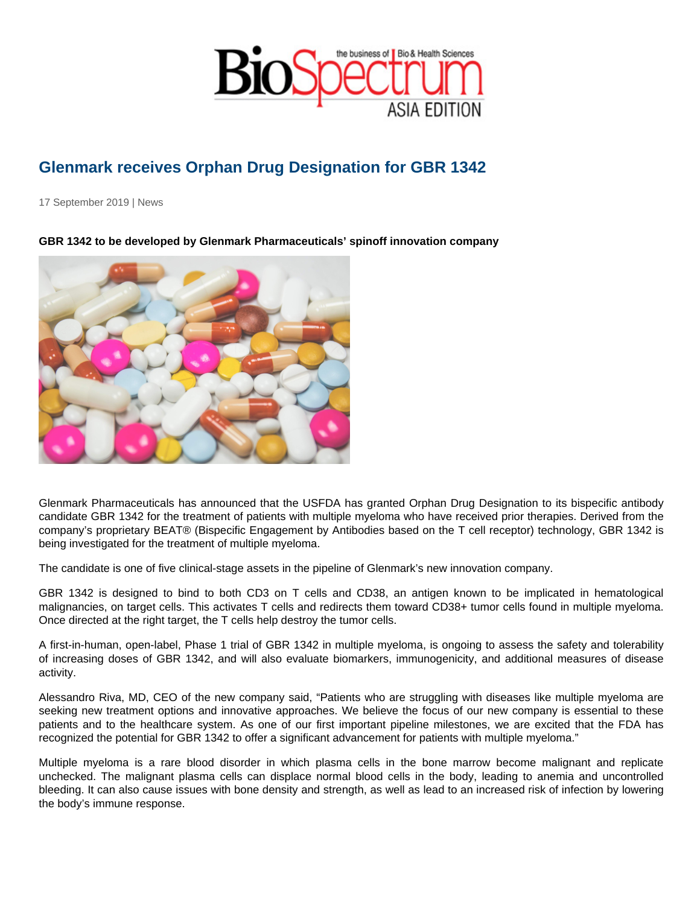## Glenmark receives Orphan Drug Designation for GBR 1342

17 September 2019 | News

GBR 1342 to be developed by Glenmark Pharmaceuticals' spinoff innovation company

Glenmark Pharmaceuticals has announced that the USFDA has granted Orphan Drug Designation to its bispecific antibody candidate GBR 1342 for the treatment of patients with multiple myeloma who have received prior therapies. Derived from the company's proprietary BEAT® (Bispecific Engagement by Antibodies based on the T cell receptor) technology, GBR 1342 is being investigated for the treatment of multiple myeloma.

The candidate is one of five clinical-stage assets in the pipeline of Glenmark's new innovation company.

GBR 1342 is designed to bind to both CD3 on T cells and CD38, an antigen known to be implicated in hematological malignancies, on target cells. This activates T cells and redirects them toward CD38+ tumor cells found in multiple myeloma. Once directed at the right target, the T cells help destroy the tumor cells.

A first-in-human, open-label, Phase 1 trial of GBR 1342 in multiple myeloma, is ongoing to assess the safety and tolerability of increasing doses of GBR 1342, and will also evaluate biomarkers, immunogenicity, and additional measures of disease activity.

Alessandro Riva, MD, CEO of the new company said, "Patients who are struggling with diseases like multiple myeloma are seeking new treatment options and innovative approaches. We believe the focus of our new company is essential to these patients and to the healthcare system. As one of our first important pipeline milestones, we are excited that the FDA has recognized the potential for GBR 1342 to offer a significant advancement for patients with multiple myeloma."

Multiple myeloma is a rare blood disorder in which plasma cells in the bone marrow become malignant and replicate unchecked. The malignant plasma cells can displace normal blood cells in the body, leading to anemia and uncontrolled bleeding. It can also cause issues with bone density and strength, as well as lead to an increased risk of infection by lowering the body's immune response.